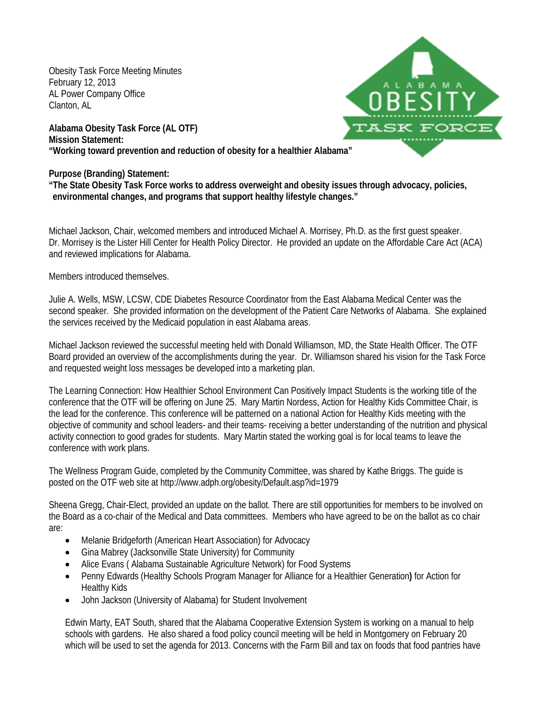Obesity Task Force Meeting Minutes February 12, 2013 AL Power Company Office Clanton, AL

**ALABAM** ASK FORC

**Alabama Obesity Task Force (AL OTF) Mission Statement: "Working toward prevention and reduction of obesity for a healthier Alabama"**

**Purpose (Branding) Statement:**

**"The State Obesity Task Force works to address overweight and obesity issues through advocacy, policies, environmental changes, and programs that support healthy lifestyle changes."**

Michael Jackson, Chair, welcomed members and introduced Michael A. Morrisey, Ph.D. as the first guest speaker. Dr. Morrisey is the Lister Hill Center for Health Policy Director. He provided an update on the Affordable Care Act (ACA) and reviewed implications for Alabama.

Members introduced themselves.

Julie A. Wells, MSW, LCSW, CDE Diabetes Resource Coordinator from the East Alabama Medical Center was the second speaker. She provided information on the development of the Patient Care Networks of Alabama. She explained the services received by the Medicaid population in east Alabama areas.

Michael Jackson reviewed the successful meeting held with Donald Williamson, MD, the State Health Officer. The OTF Board provided an overview of the accomplishments during the year. Dr. Williamson shared his vision for the Task Force and requested weight loss messages be developed into a marketing plan.

The Learning Connection: How Healthier School Environment Can Positively Impact Students is the working title of the conference that the OTF will be offering on June 25. Mary Martin Nordess, Action for Healthy Kids Committee Chair, is the lead for the conference. This conference will be patterned on a national Action for Healthy Kids meeting with the objective of community and school leaders- and their teams- receiving a better understanding of the nutrition and physical activity connection to good grades for students. Mary Martin stated the working goal is for local teams to leave the conference with work plans.

The Wellness Program Guide, completed by the Community Committee, was shared by Kathe Briggs. The guide is posted on the OTF web site at http://www.adph.org/obesity/Default.asp?id=1979

Sheena Gregg, Chair-Elect, provided an update on the ballot. There are still opportunities for members to be involved on the Board as a co-chair of the Medical and Data committees. Members who have agreed to be on the ballot as co chair are:

- Melanie Bridgeforth (American Heart Association) for Advocacy
- Gina Mabrey (Jacksonville State University) for Community
- Alice Evans ( Alabama Sustainable Agriculture Network) for Food Systems
- Penny Edwards (Healthy Schools Program Manager for Alliance for a Healthier Generation**)** for Action for Healthy Kids
- John Jackson (University of Alabama) for Student Involvement

Edwin Marty, EAT South, shared that the Alabama Cooperative Extension System is working on a manual to help schools with gardens. He also shared a food policy council meeting will be held in Montgomery on February 20 which will be used to set the agenda for 2013. Concerns with the Farm Bill and tax on foods that food pantries have